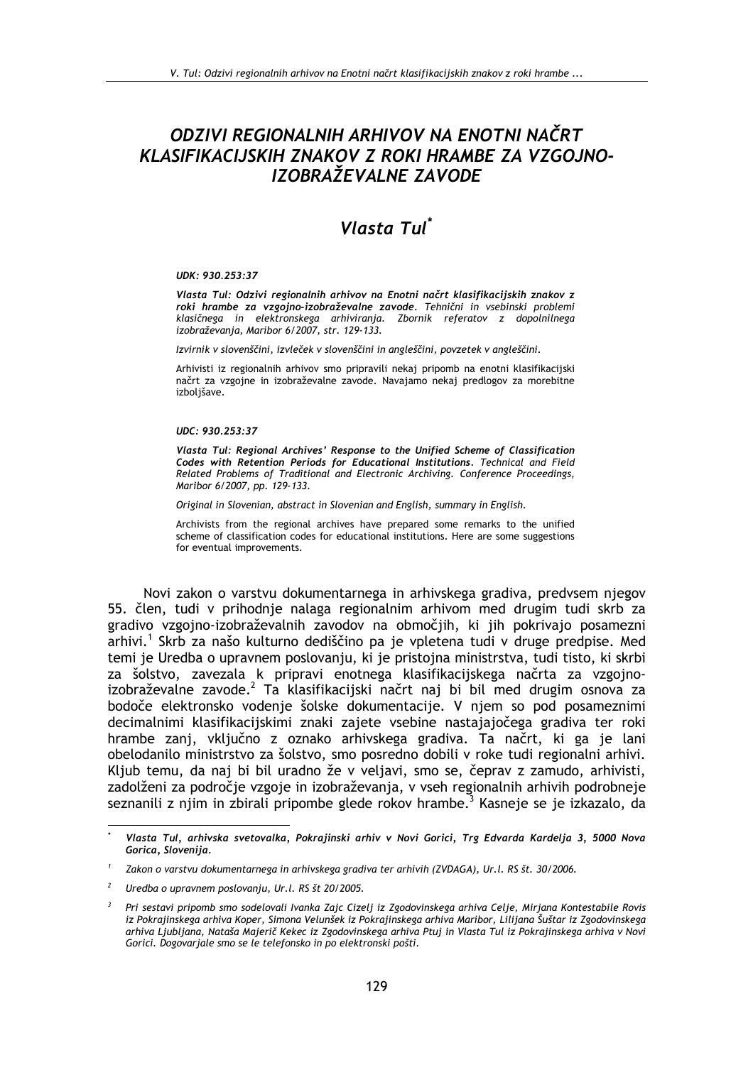## ODZIVI REGIONALNIH ARHIVOV NA ENOTNI NAČRT KLASIFIKACIJSKIH ZNAKOV Z ROKI HRAMBE ZA VZGOJNO-IZOBRAŽEVALNE ZAVODE

# Vlasta Tul<sup>\*</sup>

#### UDK: 930.253:37

Vlasta Tul: Odzivi regionalnih arhivov na Enotni načrt klasifikacijskih znakov z roki hrambe za vzgojno-izobraževalne zavode. Tehnični in vsebinski problemi klasičnega in elektronskega arhiviranja. Zbornik referatov z dopolnilnega izobraževanja, Maribor 6/2007, str. 129-133.

Izvirnik v slovenščini, izvleček v slovenščini in angleščini, povzetek v angleščini.

Arhivisti iz regionalnih arhivov smo pripravili nekaj pripomb na enotni klasifikacijski načrt za vzgojne in izobraževalne zavode. Navajamo nekaj predlogov za morebitne izboljšave.

#### UDC: 930.253:37

Vlasta Tul: Regional Archives' Response to the Unified Scheme of Classification Codes with Retention Periods for Educational Institutions. Technical and Field Related Problems of Traditional and Electronic Archiving. Conference Proceedings, Maribor 6/2007, pp. 129-133.

Original in Slovenian, abstract in Slovenian and English, summary in English.

Archivists from the regional archives have prepared some remarks to the unified scheme of classification codes for educational institutions. Here are some suggestions for eventual improvements.

Novi zakon o varstvu dokumentarnega in arhivskega gradiva, predvsem njegov 55. člen, tudi v prihodnje nalaga regionalnim arhivom med drugim tudi skrb za gradivo vzgojno-izobraževalnih zavodov na območjih, ki jih pokrivajo posamezni arhivi.<sup>1</sup> Skrb za našo kulturno dediščino pa je vpletena tudi v druge predpise. Med temi je Uredba o upravnem poslovanju, ki je pristojna ministrstva, tudi tisto, ki skrbi za šolstvo, zavezala k pripravi enotnega klasifikacijskega načrta za vzgojno-<br>izobraževalne zavode.<sup>2</sup> Ta klasifikacijski načrt naj bi bil med drugim osnova za bodoče elektronsko vodenje šolske dokumentacije. V njem so pod posameznimi decimalnimi klasifikacijskimi znaki zajete vsebine nastajajočega gradiva ter roki hrambe zanj, vključno z oznako arhivskega gradiva. Ta načrt, ki ga je lani obelodanilo ministrstvo za šolstvo, smo posredno dobili v roke tudi regionalni arhivi. Kljub temu, da naj bi bil uradno že v veljavi, smo se, čeprav z zamudo, arhivisti, zadolženi za področje vzgoje in izobraževanja, v vseh regionalnih arhivih podrobneje seznanili z njim in zbirali pripombe glede rokov hrambe.<sup>3</sup> Kasneje se je izkazalo, da

Vlasta Tul, arhivska svetovalka, Pokrajinski arhiv v Novi Gorici, Trg Edvarda Kardelja 3, 5000 Nova Gorica, Slovenija.

Zakon o varstvu dokumentarnega in arhivskega gradiva ter arhivih (ZVDAGA), Ur.l. RS št. 30/2006.

Uredba o upravnem poslovanju, Ur.l. RS št 20/2005.

Pri sestavi pripomb smo sodelovali Ivanka Zajc Cizelj iz Zgodovinskega arhiva Celje, Mirjana Kontestabile Rovis iz Pokrajinskega arhiva Koper, Simona Velunšek iz Pokrajinskega arhiva Maribor, Lilijana Šuštar iz Zgodovinskega arhiva Ljubljana, Nataša Majerič Kekec iz Zgodovinskega arhiva Ptuj in Vlasta Tul iz Pokrajinskega arhiva v Novi Gorici. Dogovarjale smo se le telefonsko in po elektronski pošti.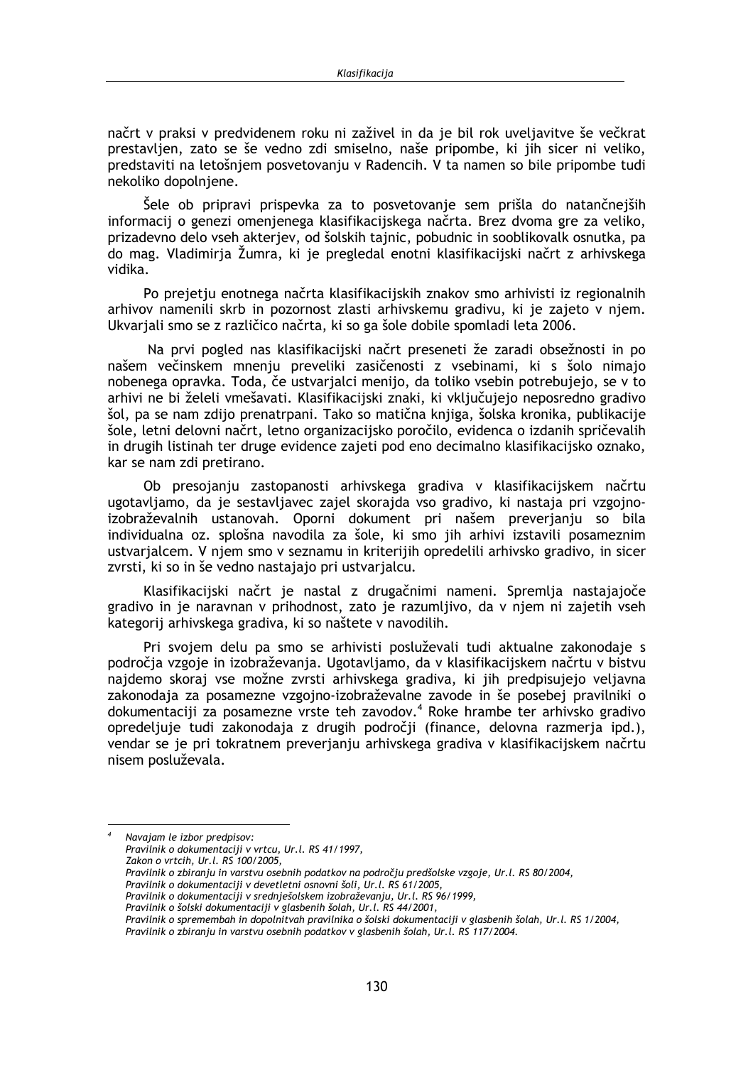načrt v praksi v predvidenem roku ni zaživel in da je bil rok uveljavitve še večkrat prestavlien, zato se še vedno zdi smiselno, naše pripombe, ki jih sicer ni veliko, predstaviti na letošniem posvetovaniu v Radencih. V ta namen so bile pripombe tudi nekoliko dopolnjene.

Šele ob pripravi prispevka za to posvetovanje sem prišla do natančnejših informacij o genezi omenjenega klasifikacijskega načrta. Brez dvoma gre za veliko, prizadevno delo vseh akterjev, od šolskih tajnic, pobudnic in sooblikovalk osnutka, pa do mag. Vladimirja Žumra, ki je pregledal enotni klasifikacijski načrt z arhivskega vidika.

Po prejetju enotnega načrta klasifikacijskih znakov smo arhivisti iz regionalnih arhivov namenili skrb in pozornost zlasti arhivskemu gradivu, ki je zajeto v njem. Ukvarjali smo se z različico načrta, ki so ga šole dobile spomladi leta 2006.

Na prvi pogled nas klasifikacijski načrt preseneti že zaradi obsežnosti in po našem večinskem mnenju preveliki zasičenosti z vsebinami, ki s šolo nimajo nobenega opravka. Toda, če ustvarjalci menijo, da toliko vsebin potrebujejo, se v to arhivi ne bi želeli vmešavati. Klasifikacijski znaki, ki vključujejo neposredno gradivo šol, pa se nam zdijo prenatrpani. Tako so matična knjiga, šolska kronika, publikacije šole, letni delovni načrt, letno organizacijsko poročilo, evidenca o izdanih spričevalih in drugih listinah ter druge evidence zajeti pod eno decimalno klasifikacijsko oznako, kar se nam zdi pretirano.

Ob presojanju zastopanosti arhivskega gradiva v klasifikacijskem načrtu ugotavljamo, da je sestavljavec zajel skorajda vso gradivo, ki nastaja pri vzgojnoizobraževalnih ustanovah. Oporni dokument pri našem preverjanju so bila individualna oz. splošna navodila za šole, ki smo jih arhivi izstavili posameznim ustvarialcem. V niem smo v seznamu in kriterijih opredelili arhivsko gradivo, in sicer zvrsti, ki so in še vedno nastajajo pri ustvarjalcu.

Klasifikacijski načrt je nastal z drugačnimi nameni. Spremlja nastajajoče gradivo in je naravnan v prihodnost, zato je razumljivo, da v njem ni zajetih vseh kategorij arhivskega gradiva, ki so naštete v navodilih.

Pri svojem delu pa smo se arhivisti posluževali tudi aktualne zakonodaje s področia vzgoje in izobraževanja. Ugotavljamo, da v klasifikacijskem načrtu v bistvu najdemo skoraj vse možne zvrsti arhivskega gradiva, ki jih predpisujejo veljavna zakonodaja za posamezne vzgojno-izobraževalne zavode in še posebej pravilniki o dokumentaciji za posamezne vrste teh zavodov.<sup>4</sup> Roke hrambe ter arhivsko gradivo opredeljuje tudi zakonodaja z drugih področji (finance, delovna razmerja ipd.), vendar se je pri tokratnem preverjanju arhivskega gradiva v klasifikacijskem načrtu nisem posluževala.

Navajam le izbor predpisov: Pravilnik o dokumentaciji v vrtcu, Ur.l. RS 41/1997, Zakon o vrtcih, Ur.l. RS 100/2005, Pravilnik o zbiranju in varstvu osebnih podatkov na področju predšolske vzgoje, Ur.l. RS 80/2004, Pravilnik o dokumentaciji v devetletni osnovni šoli, Ur.l. RS 61/2005, Pravilnik o dokumentaciji v srednješolskem izobraževanju, Ur.l. RS 96/1999,

- Pravilnik o šolski dokumentaciji v glasbenih šolah, Ur.l. RS 44/2001,
- Pravilnik o spremembah in dopolnitvah pravilnika o šolski dokumentaciji v glasbenih šolah, Ur.l. RS 1/2004, Pravilnik o zbiranju in varstvu osebnih podatkov v glasbenih šolah, Ur.l. RS 117/2004.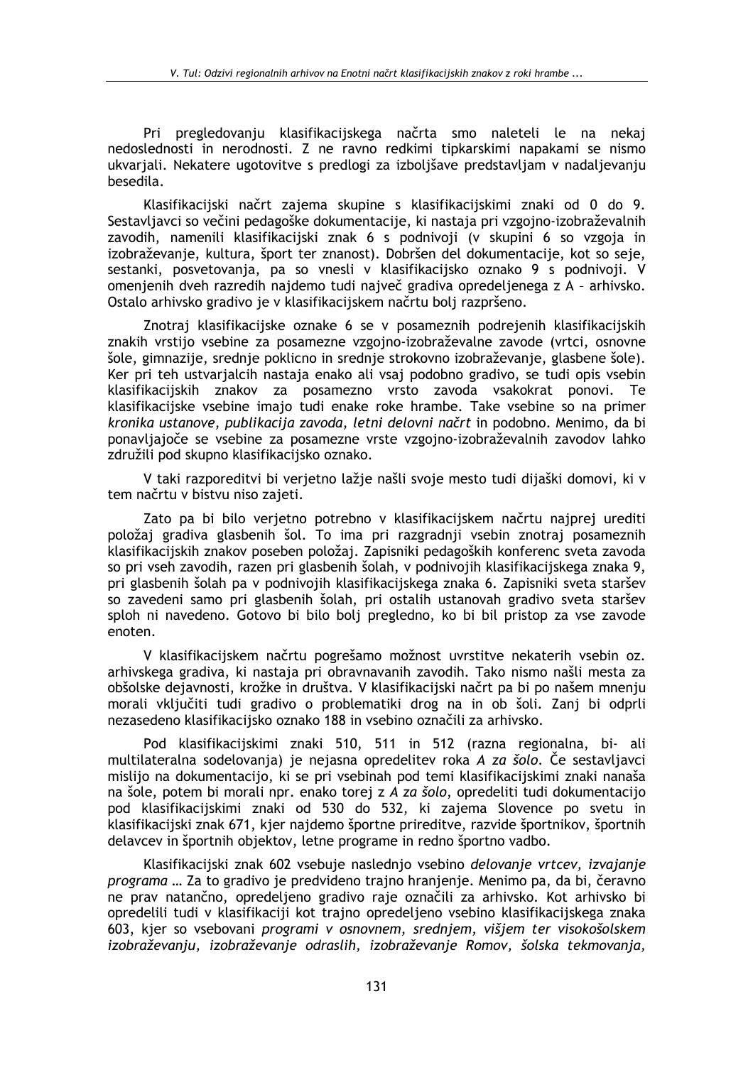Pri pregledovanju klasifikacijskega načrta smo naletelj le na nekaj nedoslednosti in nerodnosti. Z ne ravno redkimi tipkarskimi napakami se nismo ukvarjali. Nekatere ugotovitve s predlogi za izboljšave predstavljam v nadaljevanju besedila.

Klasifikacijski načrt zajema skupine s klasifikacijskimi znaki od 0 do 9. Sestavljavci so večini pedagoške dokumentacije, ki nastaja pri vzgojno-izobraževalnih zavodih, namenili klasifikacijski znak 6 s podnivoji (v skupini 6 so vzgoja in izobraževanje, kultura, šport ter znanost). Dobršen del dokumentacije, kot so seje, sestanki, posvetovanja, pa so vnesli v klasifikacijsko oznako 9 s podnivoji. V omenjenih dveh razredih najdemo tudi največ gradiva opredeljenega z A - arhivsko. Ostalo arhivsko gradivo je v klasifikacijskem načrtu bolj razpršeno.

Znotraj klasifikacijske oznake 6 se v posameznih podrejenih klasifikacijskih znakih vrstijo vsebine za posamezne vzgojno-izobraževalne zavode (vrtci, osnovne šole, gimnazije, srednje poklicno in srednje strokovno izobraževanje, glasbene šole). Ker pri teh ustvarialcih nastaja enako ali vsaj podobno gradivo, se tudi opis vsebin klasifikacijskih znakov za posamezno vrsto zavoda vsakokrat ponovi. Te klasifikacijske vsebine imajo tudi enake roke hrambe. Take vsebine so na primer kronika ustanove, publikacija zavoda, letni delovni načrt in podobno. Menimo, da bi ponavljajoče se vsebine za posamezne vrste vzgojno-izobraževalnih zavodov lahko združili pod skupno klasifikacijsko oznako.

V taki razporeditvi bi verjetno lažje našli svoje mesto tudi dijaški domovi, ki v tem načrtu v bistvu niso zajeti.

Zato pa bi bilo verjetno potrebno v klasifikacijskem načrtu najprej urediti položaj gradiva glasbenih šol. To ima pri razgradnji vsebin znotraj posameznih klasifikacijskih znakov poseben položaj. Zapisniki pedagoških konferenc sveta zavoda so pri vseh zavodih, razen pri glasbenih šolah, v podnivojih klasifikacijskega znaka 9, pri glasbenih šolah pa v podnivojih klasifikacijskega znaka 6. Zapisniki sveta staršev so zavedeni samo pri glasbenih šolah, pri ostalih ustanovah gradivo sveta staršev sploh ni navedeno. Gotovo bi bilo bolj pregledno, ko bi bil pristop za vse zavode enoten.

V klasifikacijskem načrtu pogrešamo možnost uvrstitve nekaterih vsebin oz. arhivskega gradiva, ki nastaja pri obravnavanih zavodih. Tako nismo našli mesta za obšolske dejavnosti, krožke in društva. V klasifikacijski načrt pa bi po našem mnenju morali vključiti tudi gradivo o problematiki drog na in ob šoli. Zanj bi odprli nezasedeno klasifikacijsko oznako 188 in vsebino označili za arhivsko.

Pod klasifikacijskimi znaki 510, 511 in 512 (razna regionalna, bi- ali multilateralna sodelovanja) je nejasna opredelitev roka A za šolo. Če sestavljavci mislijo na dokumentacijo, ki se pri vsebinah pod temi klasifikacijskimi znaki nanaša na šole, potem bi morali npr. enako torej z A za šolo, opredeliti tudi dokumentacijo pod klasifikacijskimi znaki od 530 do 532, ki zajema Slovence po svetu in klasifikacijski znak 671, kjer najdemo športne prireditve, razvide športnikov, športnih delavcev in športnih objektov, letne programe in redno športno vadbo.

Klasifikacijski znak 602 vsebuje naslednjo vsebino delovanje vrtcev, izvajanje programa ... Za to gradivo je predvideno trajno hranjenje. Menimo pa, da bi, čeravno ne prav natančno, opredeljeno gradivo raje označili za arhivsko. Kot arhivsko bi opredelili tudi v klasifikaciji kot trajno opredeljeno vsebino klasifikacijskega znaka 603, kjer so vsebovani programi v osnovnem, srednjem, višjem ter visokošolskem izobraževanju, izobraževanje odraslih, izobraževanje Romov, šolska tekmovanja,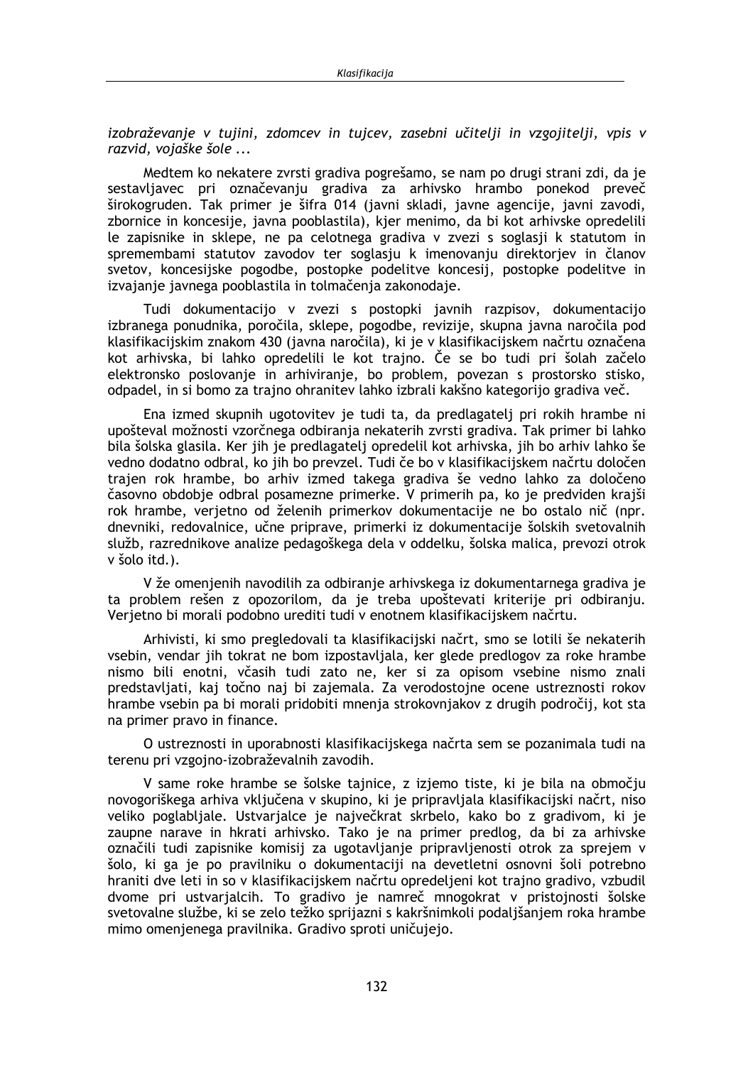izobraževanie v tujini, zdomcev in tujcev, zasebni učitelji in vzgojitelji, vpis v razvid, vojaške šole ...

Medtem ko nekatere zvrsti gradiva pogrešamo, se nam po drugi strani zdi, da je sestavljavec pri označevanju gradiva za arhivsko hrambo ponekod preveč širokogruden. Tak primer je šifra 014 (javni skladi, javne agencije, javni zavodi, zbornice in koncesije, javna pooblastila), kjer menimo, da bi kot arhivske opredelili le zapisnike in sklepe, ne pa celotnega gradiva v zvezi s soglasji k statutom in spremembami statutov zavodov ter soglasju k imenovanju direktorjev in članov svetov, koncesijske pogodbe, postopke podelitve koncesij, postopke podelitve in izvajanje javnega pooblastila in tolmačenja zakonodaje.

Tudi dokumentacijo v zvezi s postopki javnih razpisov, dokumentacijo izbranega ponudnika, poročila, sklepe, pogodbe, revizije, skupna javna naročila pod klasifikacijskim znakom 430 (javna naročila), ki je v klasifikacijskem načrtu označena kot arhivska, bi lahko opredelili le kot trajno. Če se bo tudi pri šolah začelo elektronsko poslovanje in arhiviranje, bo problem, povezan s prostorsko stisko, odpadel, in si bomo za trajno ohranitev lahko izbrali kakšno kategorijo gradiva več.

Ena izmed skupnih ugotovitev je tudi ta, da predlagatelj pri rokih hrambe ni upošteval možnosti vzorčnega odbiranja nekaterih zvrsti gradiva. Tak primer bi lahko bila šolska glasila. Ker jih je predlagatelj opredelil kot arhivska, jih bo arhiv lahko še vedno dodatno odbral, ko jih bo prevzel. Tudi če bo v klasifikacijskem načrtu določen trajen rok hrambe, bo arhiv izmed takega gradiva še vedno lahko za določeno časovno obdobje odbral posamezne primerke. V primerih pa, ko je predviden krajši rok hrambe, verjetno od želenih primerkov dokumentacije ne bo ostalo nič (npr. dnevniki, redovalnice, učne priprave, primerki iz dokumentacije šolskih svetovalnih služb, razrednikove analize pedagoškega dela v oddelku, šolska malica, prevozi otrok v šolo itd.).

V že omenjenih navodilih za odbiranje arhivskega iz dokumentarnega gradiva je ta problem rešen z opozorilom, da je treba upoštevati kriterije pri odbiranju. Verjetno bi morali podobno urediti tudi v enotnem klasifikacijskem načrtu.

Arhivisti, ki smo pregledovali ta klasifikacijski načrt, smo se lotili še nekaterih vsebin, vendar jih tokrat ne bom izpostavljala, ker glede predlogov za roke hrambe nismo bili enotni, včasih tudi zato ne, ker si za opisom vsebine nismo znali predstavliati, kaj točno naj bi zajemala. Za verodostojne ocene ustreznosti rokov hrambe vsebin pa bi morali pridobiti mnenja strokovnjakov z drugih področij, kot sta na primer pravo in finance.

O ustreznosti in uporabnosti klasifikacijskega načrta sem se pozanimala tudi na terenu pri vzgojno-izobraževalnih zavodih.

V same roke hrambe se šolske tajnice, z izjemo tiste, ki je bila na območju novogoriškega arhiva vključena v skupino, ki je pripravljala klasifikacijski načrt, niso veliko poglabljale. Ustvarjalce je največkrat skrbelo, kako bo z gradivom, ki je zaupne narave in hkrati arhivsko. Tako je na primer predlog, da bi za arhivske označili tudi zapisnike komisij za ugotavljanje pripravljenosti otrok za sprejem v šolo, ki ga je po pravilniku o dokumentaciji na devetletni osnovni šoli potrebno hraniti dve leti in so v klasifikacijskem načrtu opredeljeni kot trajno gradivo, vzbudil dvome pri ustvarjalcih. To gradivo je namreč mnogokrat v pristojnosti šolske svetovalne službe, ki se zelo težko sprijazni s kakršnimkoli podaljšanjem roka hrambe mimo omenjenega pravilnika. Gradivo sproti uničujejo.